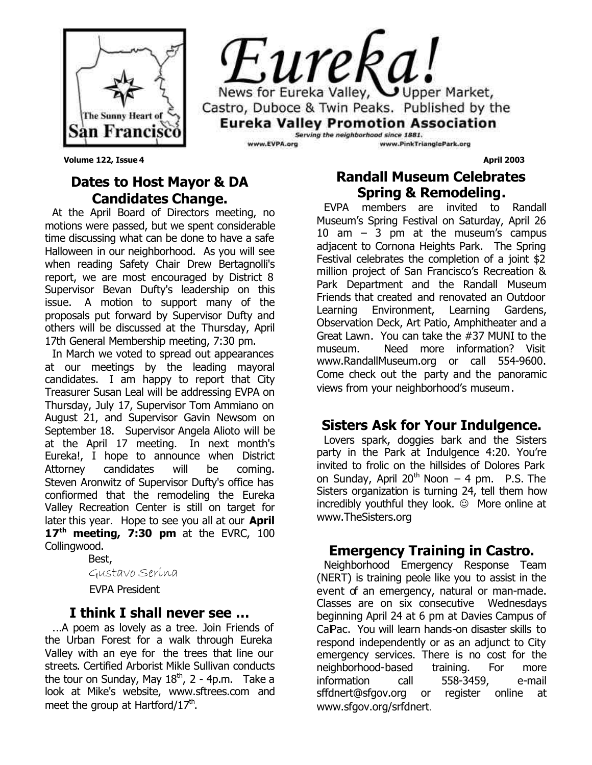



**Volume 122, Issue 4** April 2003

## **Dates to Host Mayor & DA Candidates Change.**

At the April Board of Directors meeting, no motions were passed, but we spent considerable time discussing what can be done to have a safe Halloween in our neighborhood. As you will see when reading Safety Chair Drew Bertagnolli's report, we are most encouraged by District 8 Supervisor Bevan Dufty's leadership on this issue. A motion to support many of the proposals put forward by Supervisor Dufty and others will be discussed at the Thursday, April 17th General Membership meeting, 7:30 pm.

In March we voted to spread out appearances at our meetings by the leading mayoral candidates. I am happy to report that City Treasurer Susan Leal will be addressing EVPA on Thursday, July 17, Supervisor Tom Ammiano on August 21, and Supervisor Gavin Newsom on September 18. Supervisor Angela Alioto will be at the April 17 meeting. In next month's Eureka!, I hope to announce when District Attorney candidates will be coming. Steven Aronwitz of Supervisor Dufty's office has confiormed that the remodeling the Eureka Valley Recreation Center is still on target for later this year. Hope to see you all at our **April 17th meeting, 7:30 pm** at the EVRC, 100 Collingwood.

Best,

Gustavo Serina

EVPA President

#### **I think I shall never see …**

...A poem as lovely as a tree. Join Friends of the Urban Forest for a walk through Eureka Valley with an eye for the trees that line our streets. Certified Arborist Mikle Sullivan conducts the tour on Sunday, May  $18<sup>th</sup>$ , 2 - 4p.m. Take a look at Mike's website, www.sftrees.com and meet the group at Hartford/17<sup>th</sup>.

## **Randall Museum Celebrates Spring & Remodeling.**

EVPA members are invited to Randall Museum's Spring Festival on Saturday, April 26 10 am – 3 pm at the museum's campus adjacent to Cornona Heights Park. The Spring Festival celebrates the completion of a joint \$2 million project of San Francisco's Recreation & Park Department and the Randall Museum Friends that created and renovated an Outdoor Learning Environment, Learning Gardens, Observation Deck, Art Patio, Amphitheater and a Great Lawn. You can take the #37 MUNI to the museum. Need more information? Visit www.RandallMuseum.org or call 554-9600. Come check out the party and the panoramic views from your neighborhood's museum.

## **Sisters Ask for Your Indulgence.**

Lovers spark, doggies bark and the Sisters party in the Park at Indulgence 4:20. You're invited to frolic on the hillsides of Dolores Park on Sunday, April 20<sup>th</sup> Noon  $-4$  pm. P.S. The Sisters organization is turning 24, tell them how incredibly youthful they look.  $\odot$  More online at www.TheSisters.org

## **Emergency Training in Castro.**

Neighborhood Emergency Response Team (NERT) is training peole like you to assist in the event of an emergency, natural or man-made. Classes are on six consecutive Wednesdays beginning April 24 at 6 pm at Davies Campus of CalPac. You will learn hands-on disaster skills to respond independently or as an adjunct to City emergency services. There is no cost for the neighborhood-based training. For more information call 558-3459, e-mail sffdnert@sfgov.org or register online at www.sfgov.org/srfdnert.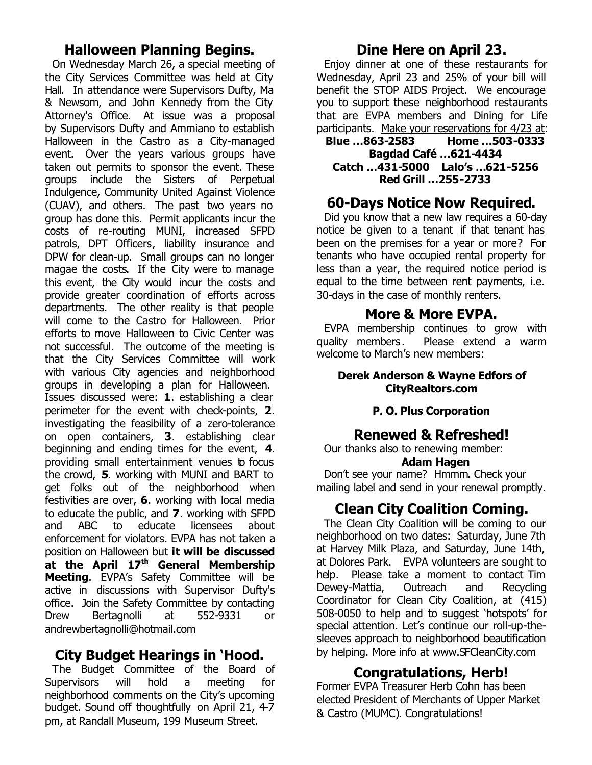### **Halloween Planning Begins.**

On Wednesday March 26, a special meeting of the City Services Committee was held at City Hall. In attendance were Supervisors Dufty, Ma & Newsom, and John Kennedy from the City Attorney's Office. At issue was a proposal by Supervisors Dufty and Ammiano to establish Halloween in the Castro as a City-managed event. Over the years various groups have taken out permits to sponsor the event. These groups include the Sisters of Perpetual Indulgence, Community United Against Violence (CUAV), and others. The past two years no group has done this. Permit applicants incur the costs of re-routing MUNI, increased SFPD patrols, DPT Officers, liability insurance and DPW for clean-up. Small groups can no longer magae the costs. If the City were to manage this event, the City would incur the costs and provide greater coordination of efforts across departments. The other reality is that people will come to the Castro for Halloween. Prior efforts to move Halloween to Civic Center was not successful. The outcome of the meeting is that the City Services Committee will work with various City agencies and neighborhood groups in developing a plan for Halloween. Issues discussed were: **1**. establishing a clear perimeter for the event with check-points, **2**. investigating the feasibility of a zero-tolerance on open containers, **3**. establishing clear beginning and ending times for the event, **4**. providing small entertainment venues to focus the crowd, **5**. working with MUNI and BART to get folks out of the neighborhood when festivities are over, **6**. working with local media to educate the public, and **7**. working with SFPD and ABC to educate licensees about enforcement for violators. EVPA has not taken a position on Halloween but **it will be discussed at the April 17th General Membership Meeting**. EVPA's Safety Committee will be active in discussions with Supervisor Dufty's office. Join the Safety Committee by contacting Drew Bertagnolli at 552-9331 or andrewbertagnolli@hotmail.com

## **City Budget Hearings in 'Hood.**

The Budget Committee of the Board of Supervisors will hold a meeting for neighborhood comments on the City's upcoming budget. Sound off thoughtfully on April 21, 4-7 pm, at Randall Museum, 199 Museum Street.

## **Dine Here on April 23.**

Enjoy dinner at one of these restaurants for Wednesday, April 23 and 25% of your bill will benefit the STOP AIDS Project. We encourage you to support these neighborhood restaurants that are EVPA members and Dining for Life participants. Make your reservations for 4/23 at:

**Blue …863-2583 Home …503-0333 Bagdad Café …621-4434 Catch …431-5000 Lalo's …621-5256 Red Grill …255-2733**

## **60-Days Notice Now Required.**

Did you know that a new law requires a 60-day notice be given to a tenant if that tenant has been on the premises for a year or more? For tenants who have occupied rental property for less than a year, the required notice period is equal to the time between rent payments, i.e. 30-days in the case of monthly renters.

## **More & More EVPA.**

EVPA membership continues to grow with quality members, Please extend a warm welcome to March's new members:

#### **Derek Anderson & Wayne Edfors of CityRealtors.com**

#### **P. O. Plus Corporation**

#### **Renewed & Refreshed!**

Our thanks also to renewing member:

#### **Adam Hagen**

Don't see your name? Hmmm. Check your mailing label and send in your renewal promptly.

## **Clean City Coalition Coming.**

The Clean City Coalition will be coming to our neighborhood on two dates: Saturday, June 7th at Harvey Milk Plaza, and Saturday, June 14th, at Dolores Park. EVPA volunteers are sought to help. Please take a moment to contact Tim Dewey-Mattia, Outreach and Recycling Coordinator for Clean City Coalition, at (415) 508-0050 to help and to suggest 'hotspots' for special attention. Let's continue our roll-up-thesleeves approach to neighborhood beautification by helping. More info at www.SFCleanCity.com

## **Congratulations, Herb!**

Former EVPA Treasurer Herb Cohn has been elected President of Merchants of Upper Market & Castro (MUMC). Congratulations!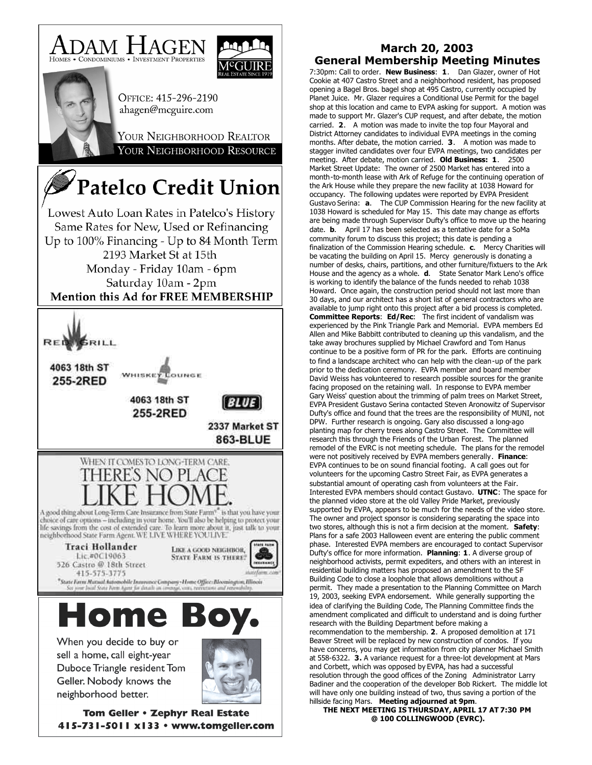





OFFICE: 415-296-2190 ahagen@mcguire.com

YOUR NEIGHBORHOOD REALTOR YOUR NEIGHBORHOOD RESOURCE

# **Patelco Credit Union**

Lowest Auto Loan Rates in Patelco's History Same Rates for New, Used or Refinancing Up to 100% Financing - Up to 84 Month Term 2193 Market St at 15th Monday - Friday 10am - 6pm Saturday 10am - 2pm **Mention this Ad for FREE MEMBERSHIP** 



Tom Geller . Zephyr Real Estate 415-731-5011 x133 · www.tomgeller.com

#### **March 20, 2003 General Membership Meeting Minutes**

7:30pm: Call to order. **New Business**: **1**. Dan Glazer, owner of Hot Cookie at 407 Castro Street and a neighborhood resident, has proposed opening a Bagel Bros. bagel shop at 495 Castro, currently occupied by Planet Juice. Mr. Glazer requires a Conditional Use Permit for the bagel shop at this location and came to EVPA asking for support. A motion was made to support Mr. Glazer's CUP request, and after debate, the motion carried. **2**. A motion was made to invite the top four Mayoral and District Attorney candidates to individual EVPA meetings in the coming months. After debate, the motion carried. **3**. A motion was made to stagger invited candidates over four EVPA meetings, two candidates per meeting. After debate, motion carried. **Old Business: 1**. 2500 Market Street Update: The owner of 2500 Market has entered into a month-to-month lease with Ark of Refuge for the continuing operation of the Ark House while they prepare the new facility at 1038 Howard for occupancy. The following updates were reported by EVPA President Gustavo Serina: **a**. The CUP Commission Hearing for the new facility at 1038 Howard is scheduled for May 15. This date may change as efforts are being made through Supervisor Dufty's office to move up the hearing date. **b**. April 17 has been selected as a tentative date for a SoMa community forum to discuss this project; this date is pending a finalization of the Commission Hearing schedule. **c**. Mercy Charities will be vacating the building on April 15. Mercy generously is donating a number of desks, chairs, partitions, and other furniture/fixtuers to the Ark House and the agency as a whole. **d**. State Senator Mark Leno's office is working to identify the balance of the funds needed to rehab 1038 Howard. Once again, the construction period should not last more than 30 days, and our architect has a short list of general contractors who are available to jump right onto this project after a bid process is completed. **Committee Reports**: **Ed/Rec**: The first incident of vandalism was experienced by the Pink Triangle Park and Memorial. EVPA members Ed Allen and Mike Babbitt contributed to cleaning up this vandalism, and the take away brochures supplied by Michael Crawford and Tom Hanus continue to be a positive form of PR for the park. Efforts are continuing to find a landscape architect who can help with the clean-up of the park prior to the dedication ceremony. EVPA member and board member David Weiss has volunteered to research possible sources for the granite facing proposed on the retaining wall. In response to EVPA member Gary Weiss' question about the trimming of palm trees on Market Street, EVPA President Gustavo Serina contacted Steven Aronowitz of Supervisor Dufty's office and found that the trees are the responsibility of MUNI, not DPW. Further research is ongoing. Gary also discussed a long-ago planting map for cherry trees along Castro Street. The Committee will research this through the Friends of the Urban Forest. The planned remodel of the EVRC is not meeting schedule. The plans for the remodel were not positively received by EVPA members generally. **Finance**: EVPA continues to be on sound financial footing. A call goes out for volunteers for the upcoming Castro Street Fair, as EVPA generates a substantial amount of operating cash from volunteers at the Fair. Interested EVPA members should contact Gustavo. **UTNC**: The space for the planned video store at the old Valley Pride Market, previously supported by EVPA, appears to be much for the needs of the video store. The owner and project sponsor is considering separating the space into two stores, although this is not a firm decision at the moment. **Safety**: Plans for a safe 2003 Halloween event are entering the public comment phase. Interested EVPA members are encouraged to contact Supervisor Dufty's office for more information. **Planning**: **1**. A diverse group of neighborhood activists, permit expediters, and others with an interest in residential building matters has proposed an amendment to the SF Building Code to close a loophole that allows demolitions without a permit. They made a presentation to the Planning Committee on March 19, 2003, seeking EVPA endorsement. While generally supporting the idea of clarifying the Building Code, The Planning Committee finds the amendment complicated and difficult to understand and is doing further research with the Building Department before making a recommendation to the membership. **2**. A proposed demolition at 171 Beaver Street will be replaced by new construction of condos. If you have concerns, you may get information from city planner Michael Smith at 558-6322. **3.** A variance request for a three-lot development at Mars and Corbett, which was opposed by EVPA, has had a successful resolution through the good offices of the Zoning Administrator Larry Badiner and the cooperation of the developer Bob Rickert. The middle lot will have only one building instead of two, thus saving a portion of the hillside facing Mars. **Meeting adjourned at 9pm**.

**THE NEXT MEETING IS THURSDAY, APRIL 17 AT 7:30 PM @ 100 COLLINGWOOD (EVRC).**